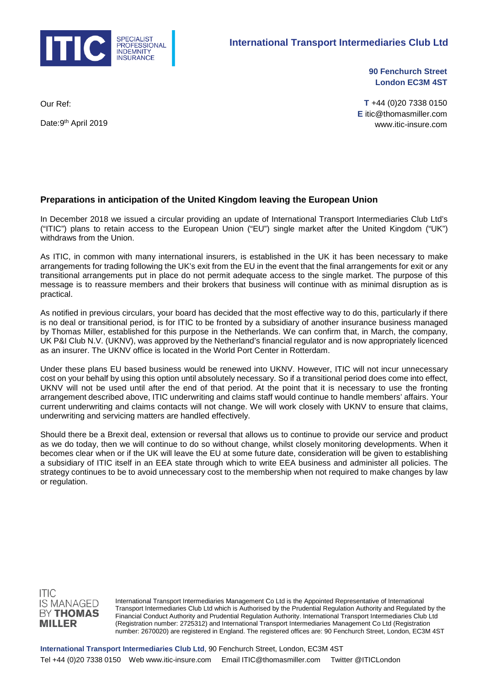

**90 Fenchurch Street London EC3M 4ST** 

Our Ref:

Date: 9<sup>th</sup> April 2019

**T** +44 (0)20 7338 0150 **E** itic@thomasmiller.com www.itic-insure.com

## **Preparations in anticipation of the United Kingdom leaving the European Union**

In December 2018 we issued a circular providing an update of International Transport Intermediaries Club Ltd's ("ITIC") plans to retain access to the European Union ("EU") single market after the United Kingdom ("UK") withdraws from the Union.

As ITIC, in common with many international insurers, is established in the UK it has been necessary to make arrangements for trading following the UK's exit from the EU in the event that the final arrangements for exit or any transitional arrangements put in place do not permit adequate access to the single market. The purpose of this message is to reassure members and their brokers that business will continue with as minimal disruption as is practical.

As notified in previous circulars, your board has decided that the most effective way to do this, particularly if there is no deal or transitional period, is for ITIC to be fronted by a subsidiary of another insurance business managed by Thomas Miller, established for this purpose in the Netherlands. We can confirm that, in March, the company, UK P&I Club N.V. (UKNV), was approved by the Netherland's financial regulator and is now appropriately licenced as an insurer. The UKNV office is located in the World Port Center in Rotterdam.

Under these plans EU based business would be renewed into UKNV. However, ITIC will not incur unnecessary cost on your behalf by using this option until absolutely necessary. So if a transitional period does come into effect, UKNV will not be used until after the end of that period. At the point that it is necessary to use the fronting arrangement described above, ITIC underwriting and claims staff would continue to handle members' affairs. Your current underwriting and claims contacts will not change. We will work closely with UKNV to ensure that claims, underwriting and servicing matters are handled effectively.

Should there be a Brexit deal, extension or reversal that allows us to continue to provide our service and product as we do today, then we will continue to do so without change, whilst closely monitoring developments. When it becomes clear when or if the UK will leave the EU at some future date, consideration will be given to establishing a subsidiary of ITIC itself in an EEA state through which to write EEA business and administer all policies. The strategy continues to be to avoid unnecessary cost to the membership when not required to make changes by law or regulation.



International Transport Intermediaries Management Co Ltd is the Appointed Representative of International Transport Intermediaries Club Ltd which is Authorised by the Prudential Regulation Authority and Regulated by the Financial Conduct Authority and Prudential Regulation Authority. International Transport Intermediaries Club Ltd (Registration number: 2725312) and International Transport Intermediaries Management Co Ltd (Registration number: 2670020) are registered in England. The registered offices are: 90 Fenchurch Street, London, EC3M 4ST